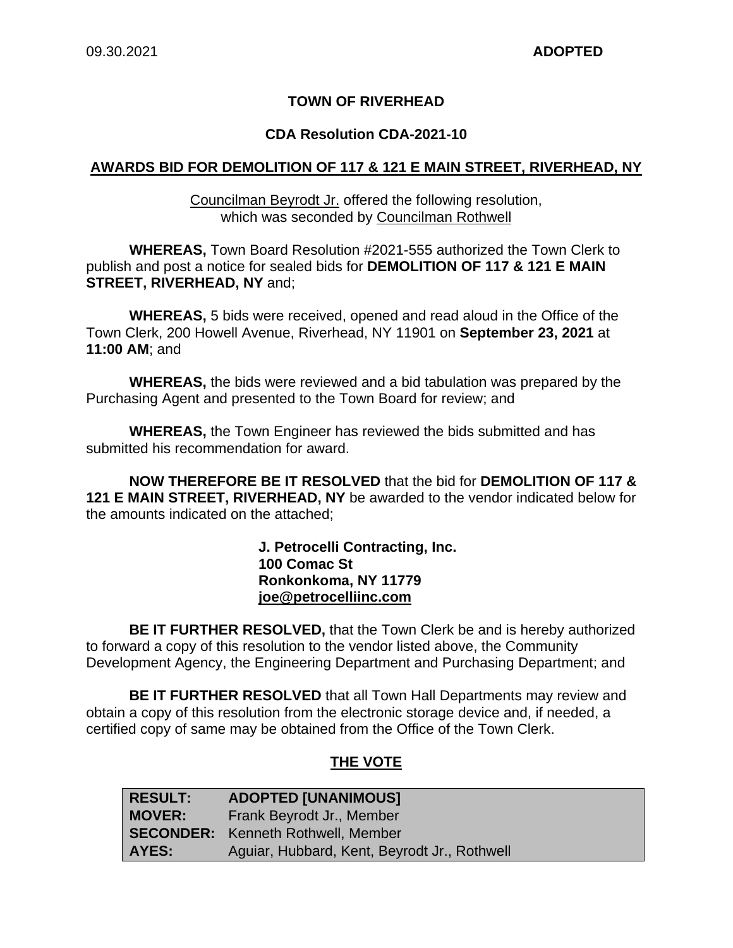## **TOWN OF RIVERHEAD**

#### **CDA Resolution CDA-2021-10**

#### **AWARDS BID FOR DEMOLITION OF 117 & 121 E MAIN STREET, RIVERHEAD, NY**

Councilman Beyrodt Jr. offered the following resolution, which was seconded by Councilman Rothwell

**WHEREAS,** Town Board Resolution #2021-555 authorized the Town Clerk to publish and post a notice for sealed bids for **DEMOLITION OF 117 & 121 E MAIN STREET, RIVERHEAD, NY** and;

**WHEREAS,** 5 bids were received, opened and read aloud in the Office of the Town Clerk, 200 Howell Avenue, Riverhead, NY 11901 on **September 23, 2021** at **11:00 AM**; and

**WHEREAS,** the bids were reviewed and a bid tabulation was prepared by the Purchasing Agent and presented to the Town Board for review; and

**WHEREAS,** the Town Engineer has reviewed the bids submitted and has submitted his recommendation for award.

**NOW THEREFORE BE IT RESOLVED** that the bid for **DEMOLITION OF 117 & 121 E MAIN STREET, RIVERHEAD, NY** be awarded to the vendor indicated below for the amounts indicated on the attached;

> **J. Petrocelli Contracting, Inc. 100 Comac St Ronkonkoma, NY 11779 joe@petrocelliinc.com**

**BE IT FURTHER RESOLVED,** that the Town Clerk be and is hereby authorized to forward a copy of this resolution to the vendor listed above, the Community Development Agency, the Engineering Department and Purchasing Department; and

**BE IT FURTHER RESOLVED** that all Town Hall Departments may review and obtain a copy of this resolution from the electronic storage device and, if needed, a certified copy of same may be obtained from the Office of the Town Clerk.

### **THE VOTE**

| <b>RESULT:</b> | <b>ADOPTED [UNANIMOUS]</b>                   |
|----------------|----------------------------------------------|
| <b>MOVER:</b>  | Frank Beyrodt Jr., Member                    |
|                | <b>SECONDER:</b> Kenneth Rothwell, Member    |
| AYES:          | Aguiar, Hubbard, Kent, Beyrodt Jr., Rothwell |